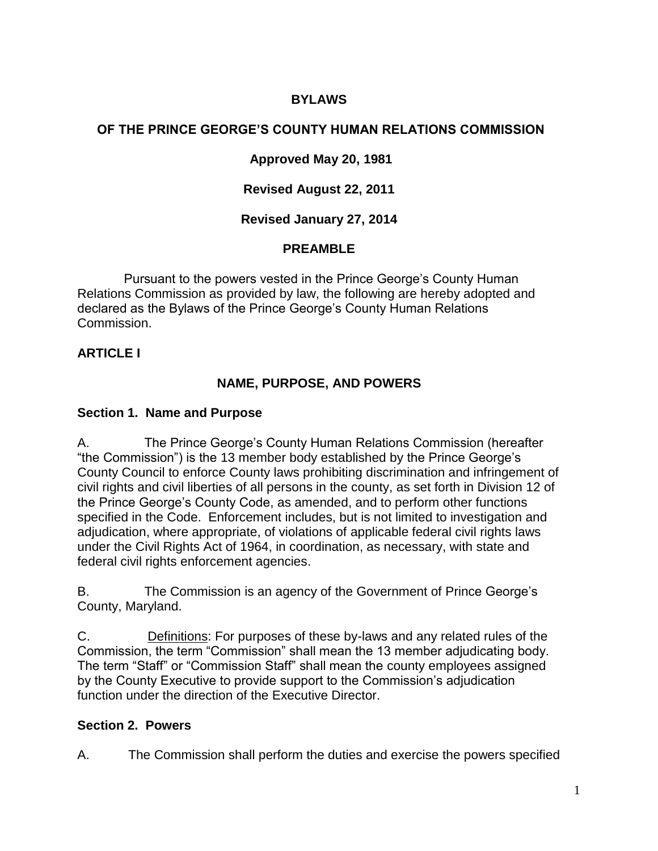## **BYLAWS**

#### **OF THE PRINCE GEORGE'S COUNTY HUMAN RELATIONS COMMISSION**

#### **Approved May 20, 1981**

#### **Revised August 22, 2011**

#### **Revised January 27, 2014**

#### **PREAMBLE**

Pursuant to the powers vested in the Prince George's County Human Relations Commission as provided by law, the following are hereby adopted and declared as the Bylaws of the Prince George's County Human Relations Commission.

#### **ARTICLE I**

#### **NAME, PURPOSE, AND POWERS**

#### **Section 1. Name and Purpose**

A. The Prince George's County Human Relations Commission (hereafter "the Commission") is the 13 member body established by the Prince George's County Council to enforce County laws prohibiting discrimination and infringement of civil rights and civil liberties of all persons in the county, as set forth in Division 12 of the Prince George's County Code, as amended, and to perform other functions specified in the Code. Enforcement includes, but is not limited to investigation and adjudication, where appropriate, of violations of applicable federal civil rights laws under the Civil Rights Act of 1964, in coordination, as necessary, with state and federal civil rights enforcement agencies.

B. The Commission is an agency of the Government of Prince George's County, Maryland.

C. Definitions: For purposes of these by-laws and any related rules of the Commission, the term "Commission" shall mean the 13 member adjudicating body. The term "Staff" or "Commission Staff" shall mean the county employees assigned by the County Executive to provide support to the Commission's adjudication function under the direction of the Executive Director.

#### **Section 2. Powers**

A. The Commission shall perform the duties and exercise the powers specified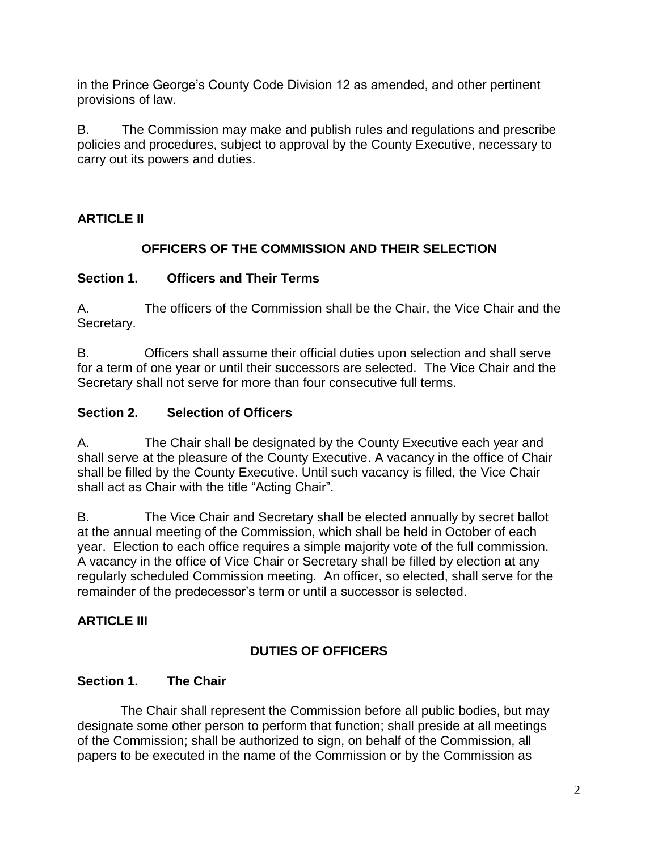in the Prince George's County Code Division 12 as amended, and other pertinent provisions of law.

B. The Commission may make and publish rules and regulations and prescribe policies and procedures, subject to approval by the County Executive, necessary to carry out its powers and duties.

# **ARTICLE II**

# **OFFICERS OF THE COMMISSION AND THEIR SELECTION**

## **Section 1. Officers and Their Terms**

A. The officers of the Commission shall be the Chair, the Vice Chair and the Secretary.

B. Officers shall assume their official duties upon selection and shall serve for a term of one year or until their successors are selected. The Vice Chair and the Secretary shall not serve for more than four consecutive full terms.

## **Section 2. Selection of Officers**

A. The Chair shall be designated by the County Executive each year and shall serve at the pleasure of the County Executive. A vacancy in the office of Chair shall be filled by the County Executive. Until such vacancy is filled, the Vice Chair shall act as Chair with the title "Acting Chair".

B. The Vice Chair and Secretary shall be elected annually by secret ballot at the annual meeting of the Commission, which shall be held in October of each year. Election to each office requires a simple majority vote of the full commission. A vacancy in the office of Vice Chair or Secretary shall be filled by election at any regularly scheduled Commission meeting. An officer, so elected, shall serve for the remainder of the predecessor's term or until a successor is selected.

# **ARTICLE III**

# **DUTIES OF OFFICERS**

# **Section 1. The Chair**

 The Chair shall represent the Commission before all public bodies, but may designate some other person to perform that function; shall preside at all meetings of the Commission; shall be authorized to sign, on behalf of the Commission, all papers to be executed in the name of the Commission or by the Commission as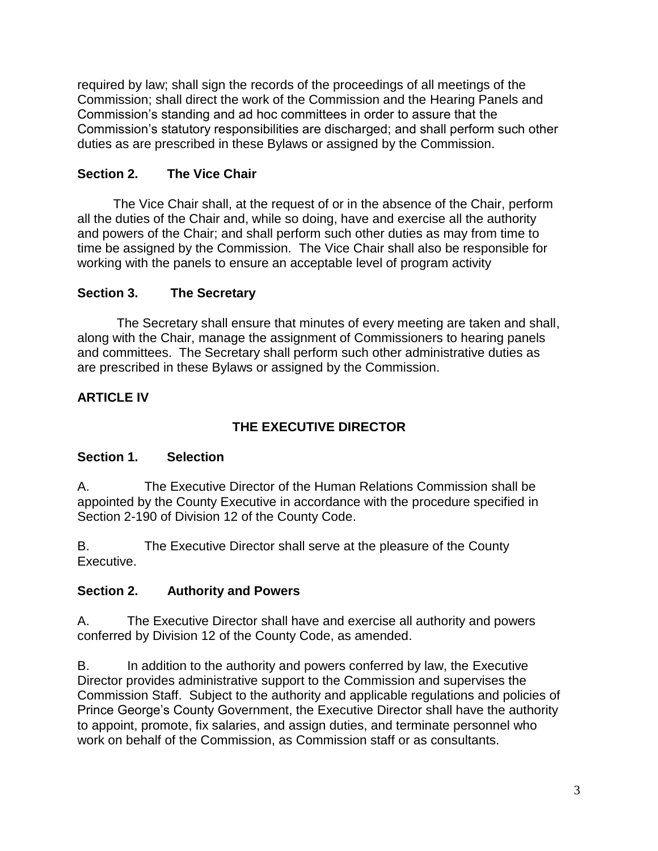required by law; shall sign the records of the proceedings of all meetings of the Commission; shall direct the work of the Commission and the Hearing Panels and Commission's standing and ad hoc committees in order to assure that the Commission's statutory responsibilities are discharged; and shall perform such other duties as are prescribed in these Bylaws or assigned by the Commission.

#### **Section 2. The Vice Chair**

 The Vice Chair shall, at the request of or in the absence of the Chair, perform all the duties of the Chair and, while so doing, have and exercise all the authority and powers of the Chair; and shall perform such other duties as may from time to time be assigned by the Commission. The Vice Chair shall also be responsible for working with the panels to ensure an acceptable level of program activity

#### **Section 3. The Secretary**

 The Secretary shall ensure that minutes of every meeting are taken and shall, along with the Chair, manage the assignment of Commissioners to hearing panels and committees. The Secretary shall perform such other administrative duties as are prescribed in these Bylaws or assigned by the Commission.

## **ARTICLE IV**

# **THE EXECUTIVE DIRECTOR**

#### **Section 1. Selection**

A. The Executive Director of the Human Relations Commission shall be appointed by the County Executive in accordance with the procedure specified in Section 2-190 of Division 12 of the County Code.

B. The Executive Director shall serve at the pleasure of the County Executive.

## **Section 2. Authority and Powers**

A. The Executive Director shall have and exercise all authority and powers conferred by Division 12 of the County Code, as amended.

B. In addition to the authority and powers conferred by law, the Executive Director provides administrative support to the Commission and supervises the Commission Staff. Subject to the authority and applicable regulations and policies of Prince George's County Government, the Executive Director shall have the authority to appoint, promote, fix salaries, and assign duties, and terminate personnel who work on behalf of the Commission, as Commission staff or as consultants.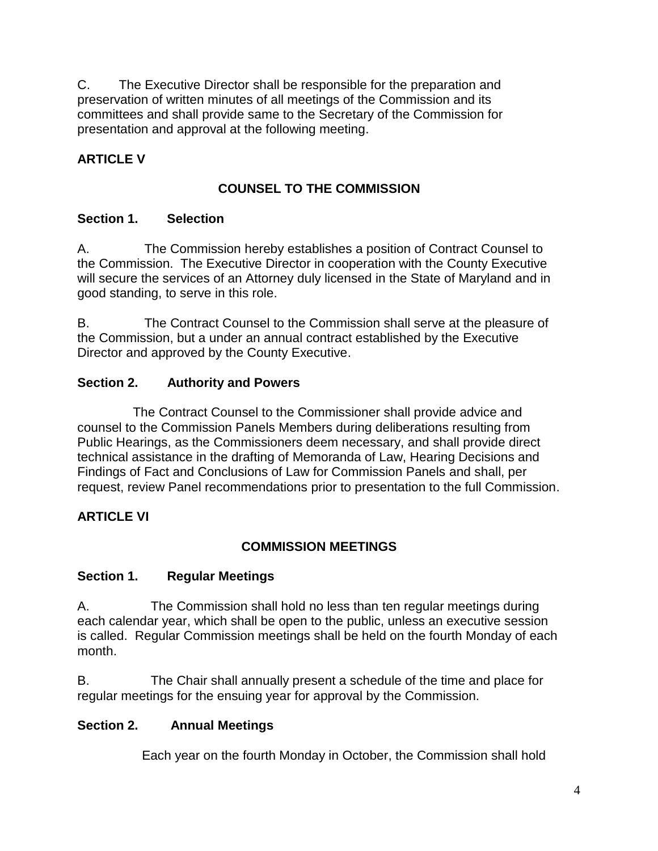C. The Executive Director shall be responsible for the preparation and preservation of written minutes of all meetings of the Commission and its committees and shall provide same to the Secretary of the Commission for presentation and approval at the following meeting.

# **ARTICLE V**

## **COUNSEL TO THE COMMISSION**

## **Section 1. Selection**

A. The Commission hereby establishes a position of Contract Counsel to the Commission. The Executive Director in cooperation with the County Executive will secure the services of an Attorney duly licensed in the State of Maryland and in good standing, to serve in this role.

B. The Contract Counsel to the Commission shall serve at the pleasure of the Commission, but a under an annual contract established by the Executive Director and approved by the County Executive.

## **Section 2. Authority and Powers**

 The Contract Counsel to the Commissioner shall provide advice and counsel to the Commission Panels Members during deliberations resulting from Public Hearings, as the Commissioners deem necessary, and shall provide direct technical assistance in the drafting of Memoranda of Law, Hearing Decisions and Findings of Fact and Conclusions of Law for Commission Panels and shall, per request, review Panel recommendations prior to presentation to the full Commission.

## **ARTICLE VI**

## **COMMISSION MEETINGS**

## **Section 1. Regular Meetings**

A. The Commission shall hold no less than ten regular meetings during each calendar year, which shall be open to the public, unless an executive session is called. Regular Commission meetings shall be held on the fourth Monday of each month.

B. The Chair shall annually present a schedule of the time and place for regular meetings for the ensuing year for approval by the Commission.

## **Section 2. Annual Meetings**

Each year on the fourth Monday in October, the Commission shall hold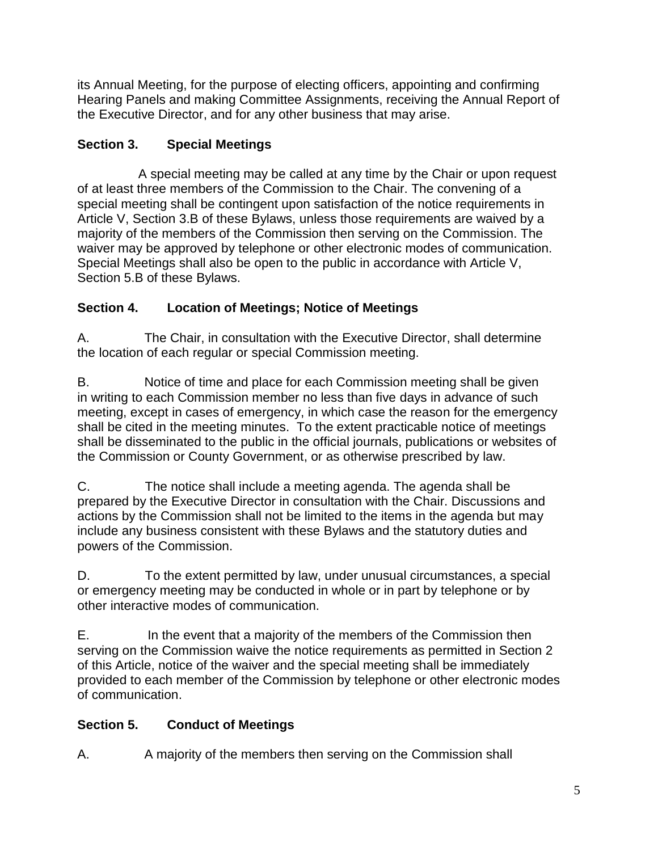its Annual Meeting, for the purpose of electing officers, appointing and confirming Hearing Panels and making Committee Assignments, receiving the Annual Report of the Executive Director, and for any other business that may arise.

# **Section 3. Special Meetings**

A special meeting may be called at any time by the Chair or upon request of at least three members of the Commission to the Chair. The convening of a special meeting shall be contingent upon satisfaction of the notice requirements in Article V, Section 3.B of these Bylaws, unless those requirements are waived by a majority of the members of the Commission then serving on the Commission. The waiver may be approved by telephone or other electronic modes of communication. Special Meetings shall also be open to the public in accordance with Article V, Section 5.B of these Bylaws.

# **Section 4. Location of Meetings; Notice of Meetings**

A. The Chair, in consultation with the Executive Director, shall determine the location of each regular or special Commission meeting.

B. Notice of time and place for each Commission meeting shall be given in writing to each Commission member no less than five days in advance of such meeting, except in cases of emergency, in which case the reason for the emergency shall be cited in the meeting minutes. To the extent practicable notice of meetings shall be disseminated to the public in the official journals, publications or websites of the Commission or County Government, or as otherwise prescribed by law.

C. The notice shall include a meeting agenda. The agenda shall be prepared by the Executive Director in consultation with the Chair. Discussions and actions by the Commission shall not be limited to the items in the agenda but may include any business consistent with these Bylaws and the statutory duties and powers of the Commission.

D. To the extent permitted by law, under unusual circumstances, a special or emergency meeting may be conducted in whole or in part by telephone or by other interactive modes of communication.

E. In the event that a majority of the members of the Commission then serving on the Commission waive the notice requirements as permitted in Section 2 of this Article, notice of the waiver and the special meeting shall be immediately provided to each member of the Commission by telephone or other electronic modes of communication.

# **Section 5. Conduct of Meetings**

A. A majority of the members then serving on the Commission shall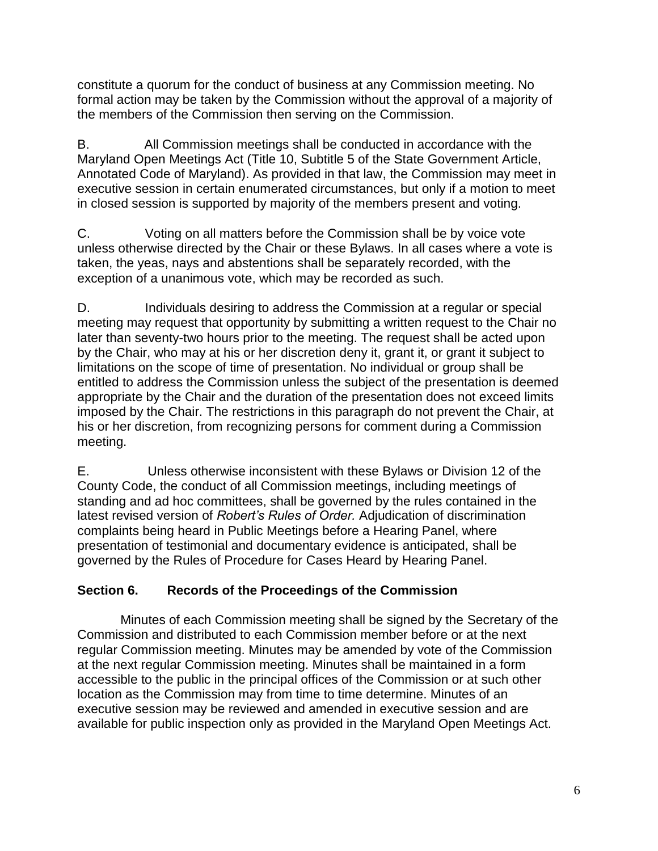constitute a quorum for the conduct of business at any Commission meeting. No formal action may be taken by the Commission without the approval of a majority of the members of the Commission then serving on the Commission.

B. All Commission meetings shall be conducted in accordance with the Maryland Open Meetings Act (Title 10, Subtitle 5 of the State Government Article, Annotated Code of Maryland). As provided in that law, the Commission may meet in executive session in certain enumerated circumstances, but only if a motion to meet in closed session is supported by majority of the members present and voting.

C. Voting on all matters before the Commission shall be by voice vote unless otherwise directed by the Chair or these Bylaws. In all cases where a vote is taken, the yeas, nays and abstentions shall be separately recorded, with the exception of a unanimous vote, which may be recorded as such.

D. Individuals desiring to address the Commission at a regular or special meeting may request that opportunity by submitting a written request to the Chair no later than seventy-two hours prior to the meeting. The request shall be acted upon by the Chair, who may at his or her discretion deny it, grant it, or grant it subject to limitations on the scope of time of presentation. No individual or group shall be entitled to address the Commission unless the subject of the presentation is deemed appropriate by the Chair and the duration of the presentation does not exceed limits imposed by the Chair. The restrictions in this paragraph do not prevent the Chair, at his or her discretion, from recognizing persons for comment during a Commission meeting.

E. Unless otherwise inconsistent with these Bylaws or Division 12 of the County Code, the conduct of all Commission meetings, including meetings of standing and ad hoc committees, shall be governed by the rules contained in the latest revised version of *Robert's Rules of Order.* Adjudication of discrimination complaints being heard in Public Meetings before a Hearing Panel, where presentation of testimonial and documentary evidence is anticipated, shall be governed by the Rules of Procedure for Cases Heard by Hearing Panel.

## **Section 6. Records of the Proceedings of the Commission**

 Minutes of each Commission meeting shall be signed by the Secretary of the Commission and distributed to each Commission member before or at the next regular Commission meeting. Minutes may be amended by vote of the Commission at the next regular Commission meeting. Minutes shall be maintained in a form accessible to the public in the principal offices of the Commission or at such other location as the Commission may from time to time determine. Minutes of an executive session may be reviewed and amended in executive session and are available for public inspection only as provided in the Maryland Open Meetings Act.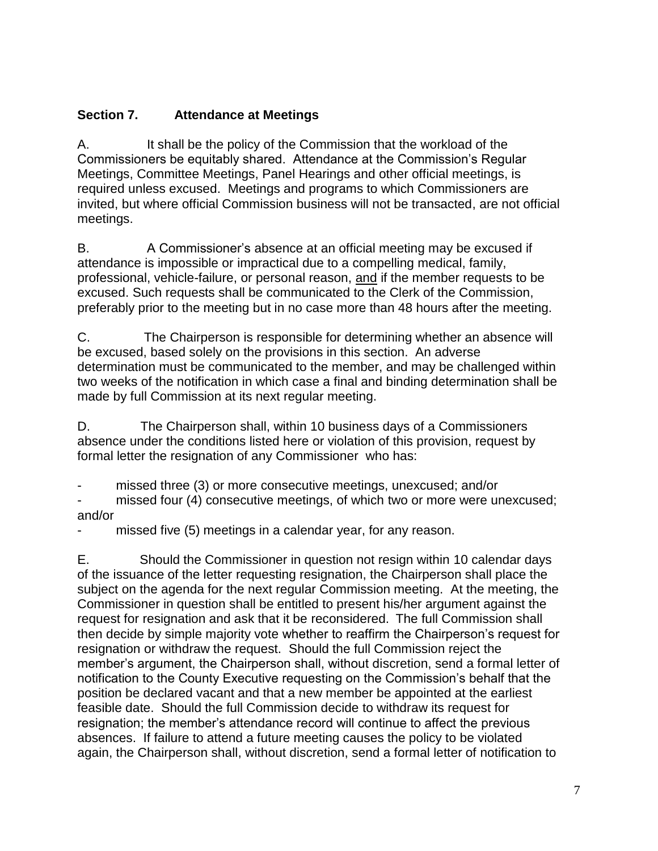## **Section 7. Attendance at Meetings**

A. It shall be the policy of the Commission that the workload of the Commissioners be equitably shared. Attendance at the Commission's Regular Meetings, Committee Meetings, Panel Hearings and other official meetings, is required unless excused. Meetings and programs to which Commissioners are invited, but where official Commission business will not be transacted, are not official meetings.

B. A Commissioner's absence at an official meeting may be excused if attendance is impossible or impractical due to a compelling medical, family, professional, vehicle-failure, or personal reason, and if the member requests to be excused. Such requests shall be communicated to the Clerk of the Commission, preferably prior to the meeting but in no case more than 48 hours after the meeting.

C. The Chairperson is responsible for determining whether an absence will be excused, based solely on the provisions in this section. An adverse determination must be communicated to the member, and may be challenged within two weeks of the notification in which case a final and binding determination shall be made by full Commission at its next regular meeting.

D. The Chairperson shall, within 10 business days of a Commissioners absence under the conditions listed here or violation of this provision, request by formal letter the resignation of any Commissioner who has:

missed three (3) or more consecutive meetings, unexcused; and/or

missed four (4) consecutive meetings, of which two or more were unexcused; and/or

- missed five (5) meetings in a calendar year, for any reason.

E. Should the Commissioner in question not resign within 10 calendar days of the issuance of the letter requesting resignation, the Chairperson shall place the subject on the agenda for the next regular Commission meeting. At the meeting, the Commissioner in question shall be entitled to present his/her argument against the request for resignation and ask that it be reconsidered. The full Commission shall then decide by simple majority vote whether to reaffirm the Chairperson's request for resignation or withdraw the request. Should the full Commission reject the member's argument, the Chairperson shall, without discretion, send a formal letter of notification to the County Executive requesting on the Commission's behalf that the position be declared vacant and that a new member be appointed at the earliest feasible date. Should the full Commission decide to withdraw its request for resignation; the member's attendance record will continue to affect the previous absences. If failure to attend a future meeting causes the policy to be violated again, the Chairperson shall, without discretion, send a formal letter of notification to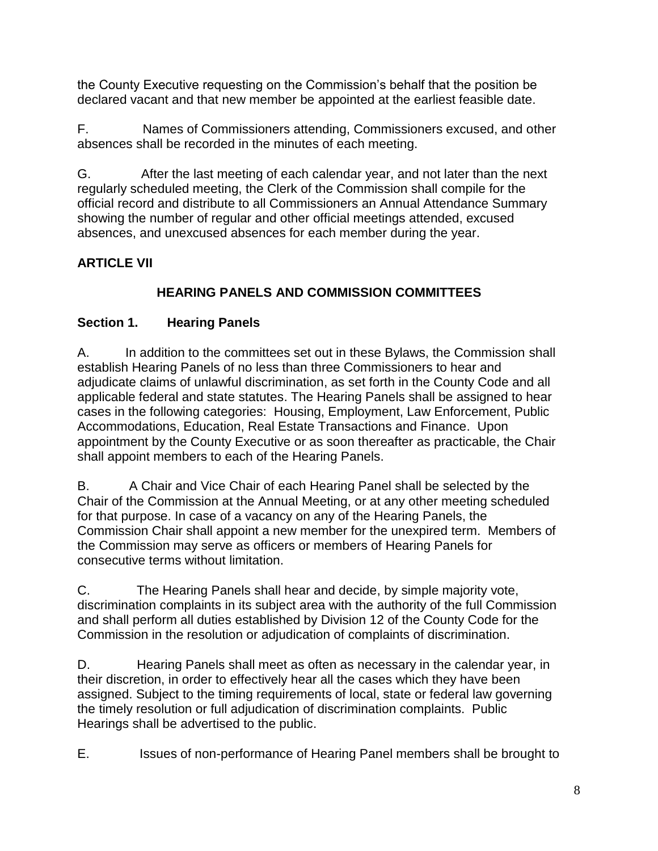the County Executive requesting on the Commission's behalf that the position be declared vacant and that new member be appointed at the earliest feasible date.

F. Names of Commissioners attending, Commissioners excused, and other absences shall be recorded in the minutes of each meeting.

G. After the last meeting of each calendar year, and not later than the next regularly scheduled meeting, the Clerk of the Commission shall compile for the official record and distribute to all Commissioners an Annual Attendance Summary showing the number of regular and other official meetings attended, excused absences, and unexcused absences for each member during the year.

# **ARTICLE VII**

# **HEARING PANELS AND COMMISSION COMMITTEES**

# **Section 1. Hearing Panels**

A.In addition to the committees set out in these Bylaws, the Commission shall establish Hearing Panels of no less than three Commissioners to hear and adjudicate claims of unlawful discrimination, as set forth in the County Code and all applicable federal and state statutes. The Hearing Panels shall be assigned to hear cases in the following categories: Housing, Employment, Law Enforcement, Public Accommodations, Education, Real Estate Transactions and Finance. Upon appointment by the County Executive or as soon thereafter as practicable, the Chair shall appoint members to each of the Hearing Panels.

B. A Chair and Vice Chair of each Hearing Panel shall be selected by the Chair of the Commission at the Annual Meeting, or at any other meeting scheduled for that purpose. In case of a vacancy on any of the Hearing Panels, the Commission Chair shall appoint a new member for the unexpired term. Members of the Commission may serve as officers or members of Hearing Panels for consecutive terms without limitation.

C. The Hearing Panels shall hear and decide, by simple majority vote, discrimination complaints in its subject area with the authority of the full Commission and shall perform all duties established by Division 12 of the County Code for the Commission in the resolution or adjudication of complaints of discrimination.

D. Hearing Panels shall meet as often as necessary in the calendar year, in their discretion, in order to effectively hear all the cases which they have been assigned. Subject to the timing requirements of local, state or federal law governing the timely resolution or full adjudication of discrimination complaints. Public Hearings shall be advertised to the public.

E. Issues of non-performance of Hearing Panel members shall be brought to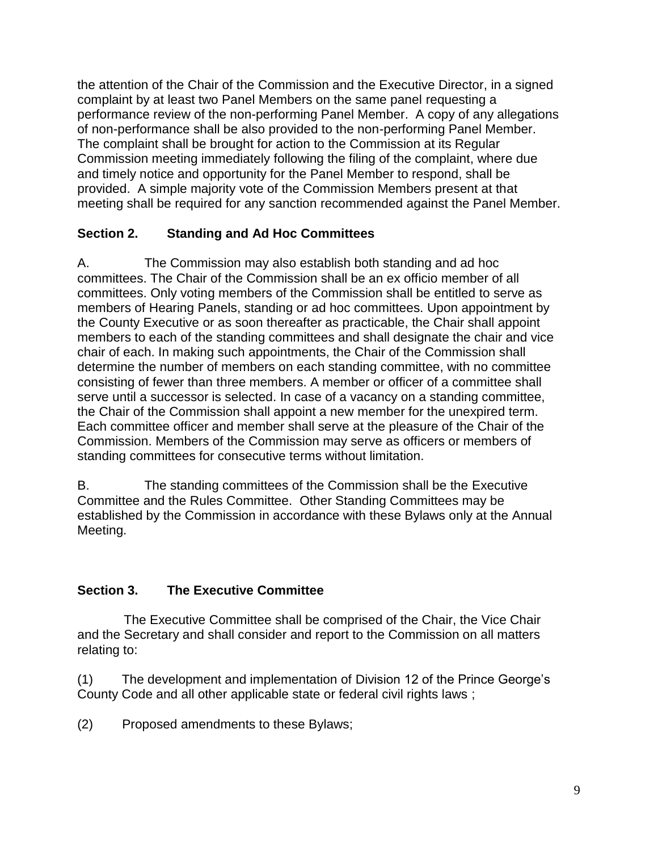the attention of the Chair of the Commission and the Executive Director, in a signed complaint by at least two Panel Members on the same panel requesting a performance review of the non-performing Panel Member. A copy of any allegations of non-performance shall be also provided to the non-performing Panel Member. The complaint shall be brought for action to the Commission at its Regular Commission meeting immediately following the filing of the complaint, where due and timely notice and opportunity for the Panel Member to respond, shall be provided. A simple majority vote of the Commission Members present at that meeting shall be required for any sanction recommended against the Panel Member.

## **Section 2. Standing and Ad Hoc Committees**

A. The Commission may also establish both standing and ad hoc committees. The Chair of the Commission shall be an ex officio member of all committees. Only voting members of the Commission shall be entitled to serve as members of Hearing Panels, standing or ad hoc committees. Upon appointment by the County Executive or as soon thereafter as practicable, the Chair shall appoint members to each of the standing committees and shall designate the chair and vice chair of each. In making such appointments, the Chair of the Commission shall determine the number of members on each standing committee, with no committee consisting of fewer than three members. A member or officer of a committee shall serve until a successor is selected. In case of a vacancy on a standing committee, the Chair of the Commission shall appoint a new member for the unexpired term. Each committee officer and member shall serve at the pleasure of the Chair of the Commission. Members of the Commission may serve as officers or members of standing committees for consecutive terms without limitation.

B. The standing committees of the Commission shall be the Executive Committee and the Rules Committee. Other Standing Committees may be established by the Commission in accordance with these Bylaws only at the Annual Meeting.

## **Section 3. The Executive Committee**

 The Executive Committee shall be comprised of the Chair, the Vice Chair and the Secretary and shall consider and report to the Commission on all matters relating to:

(1) The development and implementation of Division 12 of the Prince George's County Code and all other applicable state or federal civil rights laws ;

(2) Proposed amendments to these Bylaws;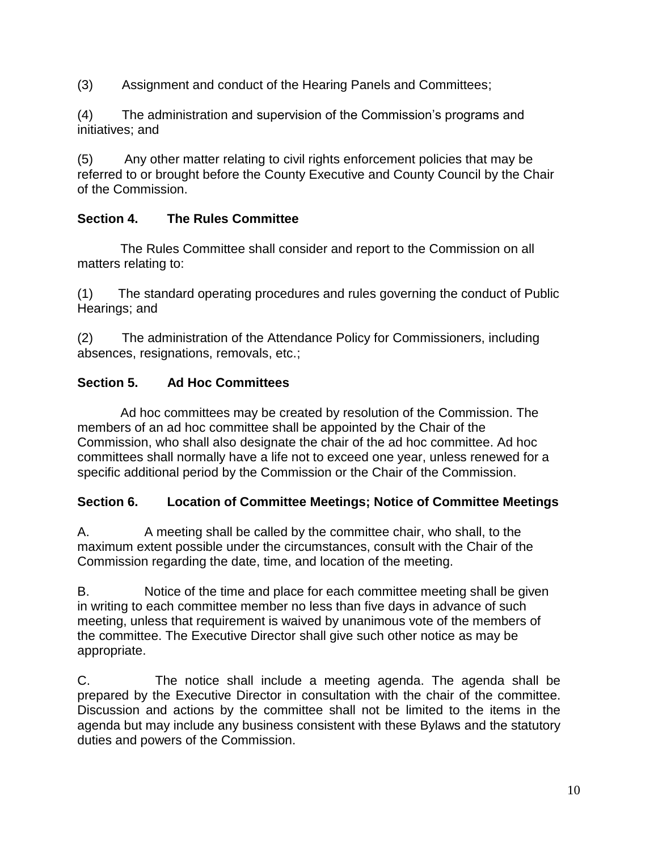(3) Assignment and conduct of the Hearing Panels and Committees;

(4) The administration and supervision of the Commission's programs and initiatives; and

(5) Any other matter relating to civil rights enforcement policies that may be referred to or brought before the County Executive and County Council by the Chair of the Commission.

#### **Section 4. The Rules Committee**

 The Rules Committee shall consider and report to the Commission on all matters relating to:

(1) The standard operating procedures and rules governing the conduct of Public Hearings; and

(2) The administration of the Attendance Policy for Commissioners, including absences, resignations, removals, etc.;

#### **Section 5. Ad Hoc Committees**

 Ad hoc committees may be created by resolution of the Commission. The members of an ad hoc committee shall be appointed by the Chair of the Commission, who shall also designate the chair of the ad hoc committee. Ad hoc committees shall normally have a life not to exceed one year, unless renewed for a specific additional period by the Commission or the Chair of the Commission.

#### **Section 6. Location of Committee Meetings; Notice of Committee Meetings**

A. A meeting shall be called by the committee chair, who shall, to the maximum extent possible under the circumstances, consult with the Chair of the Commission regarding the date, time, and location of the meeting.

B. Notice of the time and place for each committee meeting shall be given in writing to each committee member no less than five days in advance of such meeting, unless that requirement is waived by unanimous vote of the members of the committee. The Executive Director shall give such other notice as may be appropriate.

C. The notice shall include a meeting agenda. The agenda shall be prepared by the Executive Director in consultation with the chair of the committee. Discussion and actions by the committee shall not be limited to the items in the agenda but may include any business consistent with these Bylaws and the statutory duties and powers of the Commission.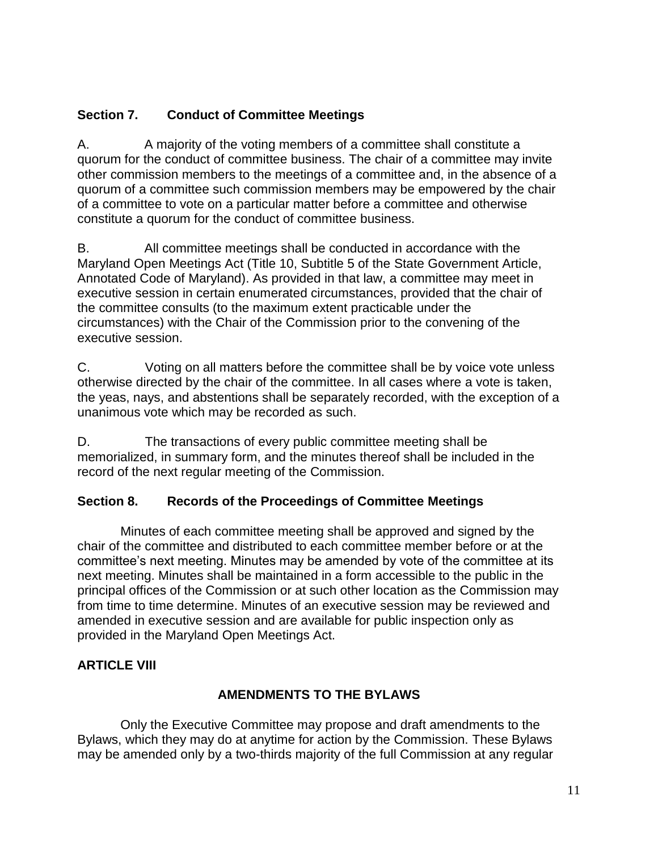## **Section 7. Conduct of Committee Meetings**

A. A majority of the voting members of a committee shall constitute a quorum for the conduct of committee business. The chair of a committee may invite other commission members to the meetings of a committee and, in the absence of a quorum of a committee such commission members may be empowered by the chair of a committee to vote on a particular matter before a committee and otherwise constitute a quorum for the conduct of committee business.

B. All committee meetings shall be conducted in accordance with the Maryland Open Meetings Act (Title 10, Subtitle 5 of the State Government Article, Annotated Code of Maryland). As provided in that law, a committee may meet in executive session in certain enumerated circumstances, provided that the chair of the committee consults (to the maximum extent practicable under the circumstances) with the Chair of the Commission prior to the convening of the executive session.

C. Voting on all matters before the committee shall be by voice vote unless otherwise directed by the chair of the committee. In all cases where a vote is taken, the yeas, nays, and abstentions shall be separately recorded, with the exception of a unanimous vote which may be recorded as such.

D. The transactions of every public committee meeting shall be memorialized, in summary form, and the minutes thereof shall be included in the record of the next regular meeting of the Commission.

#### **Section 8. Records of the Proceedings of Committee Meetings**

Minutes of each committee meeting shall be approved and signed by the chair of the committee and distributed to each committee member before or at the committee's next meeting. Minutes may be amended by vote of the committee at its next meeting. Minutes shall be maintained in a form accessible to the public in the principal offices of the Commission or at such other location as the Commission may from time to time determine. Minutes of an executive session may be reviewed and amended in executive session and are available for public inspection only as provided in the Maryland Open Meetings Act.

#### **ARTICLE VIII**

#### **AMENDMENTS TO THE BYLAWS**

 Only the Executive Committee may propose and draft amendments to the Bylaws, which they may do at anytime for action by the Commission. These Bylaws may be amended only by a two-thirds majority of the full Commission at any regular